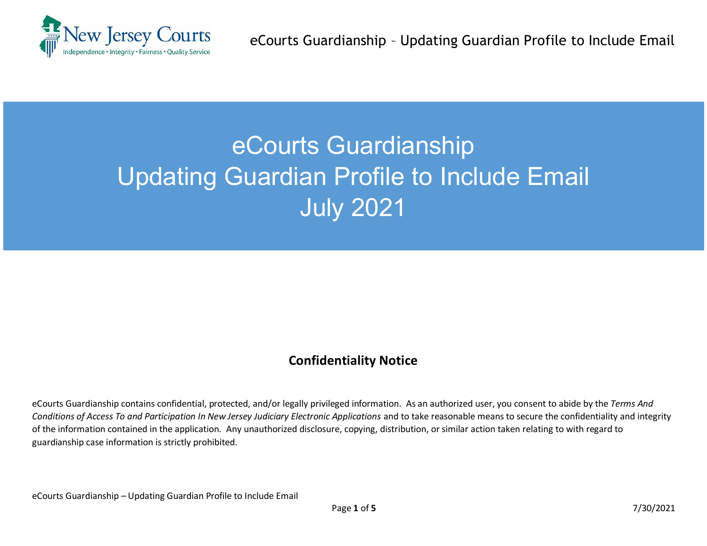

## eCourts Guardianship Updating Guardian Profile to Include Email July 2021

## **Confidentiality Notice**

eCourts Guardianship contains confidential, protected, and/or legally privileged information. As an authorized user, you consent to abide by the *Terms And Conditions of Access To and Participation In New Jersey Judiciary Electronic Applications* and to take reasonable means to secure the confidentiality and integrity of the information contained in the application. Any unauthorized disclosure, copying, distribution, or similar action taken relating to with regard to guardianship case information is strictly prohibited.

eCourts Guardianship – Updating Guardian Profile to Include Email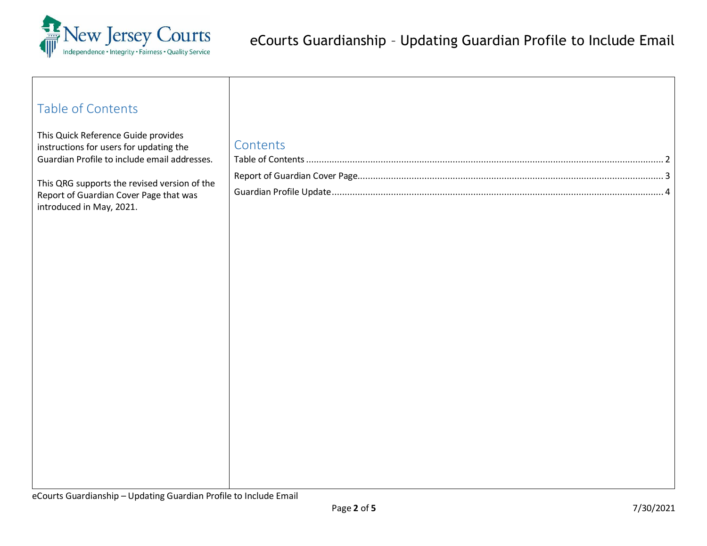

<span id="page-1-0"></span>

| <b>Table of Contents</b>                                                                                                                                                                                                                             |          |  |
|------------------------------------------------------------------------------------------------------------------------------------------------------------------------------------------------------------------------------------------------------|----------|--|
| This Quick Reference Guide provides<br>instructions for users for updating the<br>Guardian Profile to include email addresses.<br>This QRG supports the revised version of the<br>Report of Guardian Cover Page that was<br>introduced in May, 2021. | Contents |  |
|                                                                                                                                                                                                                                                      |          |  |
|                                                                                                                                                                                                                                                      |          |  |
|                                                                                                                                                                                                                                                      |          |  |
|                                                                                                                                                                                                                                                      |          |  |
|                                                                                                                                                                                                                                                      |          |  |
|                                                                                                                                                                                                                                                      |          |  |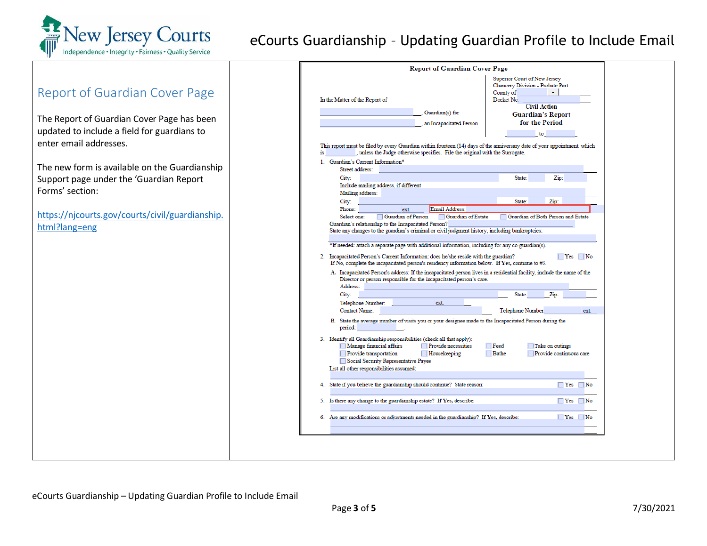

## eCourts Guardianship – Updating Guardian Profile to Include Email

<span id="page-2-0"></span>

|                                                 | <b>Report of Guardian Cover Page</b>                                                                                                                                                                                                                                                                                                |  |  |
|-------------------------------------------------|-------------------------------------------------------------------------------------------------------------------------------------------------------------------------------------------------------------------------------------------------------------------------------------------------------------------------------------|--|--|
| Report of Guardian Cover Page                   | Superior Court of New Jersey<br>Chancery Division - Probate Part<br>County of<br>٠<br>Docket No.<br>In the Matter of the Report of<br><b>Civil Action</b>                                                                                                                                                                           |  |  |
|                                                 | Guardian(s) for<br><b>Guardian's Report</b>                                                                                                                                                                                                                                                                                         |  |  |
| The Report of Guardian Cover Page has been      | for the Period<br>an Incapacitated Person.                                                                                                                                                                                                                                                                                          |  |  |
| updated to include a field for guardians to     | to the                                                                                                                                                                                                                                                                                                                              |  |  |
| enter email addresses.                          | This report must be filed by every Guardian within fourteen (14) days of the anniversary date of your appointment, which<br>, unless the Judge otherwise specifies. File the original with the Surrogate.<br>is _                                                                                                                   |  |  |
| The new form is available on the Guardianship   | 1. Guardian's Current Information*                                                                                                                                                                                                                                                                                                  |  |  |
|                                                 | Street address:                                                                                                                                                                                                                                                                                                                     |  |  |
| Support page under the 'Guardian Report         | City:<br>State:<br>Zip:<br>Include mailing address, if different                                                                                                                                                                                                                                                                    |  |  |
| Forms' section:                                 | Mailing address:                                                                                                                                                                                                                                                                                                                    |  |  |
|                                                 | City:<br>State:<br>Zip:                                                                                                                                                                                                                                                                                                             |  |  |
|                                                 | Phone:<br>Email Address:<br>ext.                                                                                                                                                                                                                                                                                                    |  |  |
| https://njcourts.gov/courts/civil/guardianship. | Guardian of Person<br>Guardian of Estate<br>Guardian of Both Person and Estate<br>Select one:<br>Guardian's relationship to the Incapacitated Person?                                                                                                                                                                               |  |  |
| html?lang=eng                                   | State any changes to the guardian's criminal or civil judgment history, including bankruptcies:                                                                                                                                                                                                                                     |  |  |
|                                                 |                                                                                                                                                                                                                                                                                                                                     |  |  |
|                                                 | *If needed: attach a separate page with additional information, including for any co-guardian(s).                                                                                                                                                                                                                                   |  |  |
|                                                 | 2. Incapacitated Person's Current Information: does he/she reside with the guardian?<br>$\Box$ Yes $\Box$ No<br>If No, complete the incapacitated person's residency information below. If Yes, continue to $#3$ .                                                                                                                  |  |  |
|                                                 | A. Incapacitated Person's address: If the incapacitated person lives in a residential facility, include the name of the<br>Director or person responsible for the incapacitated person's care.<br>Address:                                                                                                                          |  |  |
|                                                 | City:<br>State:<br>Zip:                                                                                                                                                                                                                                                                                                             |  |  |
|                                                 | ext.<br>Telephone Number:                                                                                                                                                                                                                                                                                                           |  |  |
|                                                 | Contact Name:<br><b>Telephone Number</b><br>ext.                                                                                                                                                                                                                                                                                    |  |  |
|                                                 | B. State the average number of visits you or your designee made to the Incapacitated Person during the<br>period:                                                                                                                                                                                                                   |  |  |
|                                                 | 3. Identify all Guardianship responsibilities (check all that apply):<br>Manage financial affairs<br>Provide necessities<br>$\Box$ Feed<br>Take on outings<br>Provide transportation<br>$\Box$ Bathe<br>Provide continuous care<br>Housekeeping<br>Social Security Representative Payee<br>List all other responsibilities assumed: |  |  |
|                                                 | 4. State if you believe the guardianship should continue? State reason:<br>$\Box$ Yes $\Box$ No                                                                                                                                                                                                                                     |  |  |
|                                                 | 5. Is there any change to the guardianship estate? If Yes, describe:<br>$\Box$ Yes $\Box$ No                                                                                                                                                                                                                                        |  |  |
|                                                 | 6. Are any modifications or adjustments needed in the guardianship? If Yes, describe:<br>$\Box$ Yes $\Box$ No                                                                                                                                                                                                                       |  |  |
|                                                 |                                                                                                                                                                                                                                                                                                                                     |  |  |
|                                                 |                                                                                                                                                                                                                                                                                                                                     |  |  |
|                                                 |                                                                                                                                                                                                                                                                                                                                     |  |  |
|                                                 |                                                                                                                                                                                                                                                                                                                                     |  |  |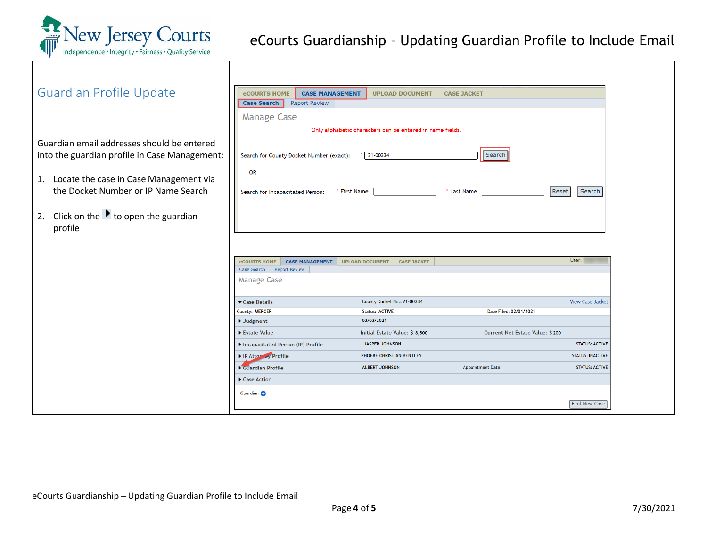

<span id="page-3-0"></span>

| <b>Guardian Profile Update</b>                                                                                                                                                  | <b>eCOURTS HOME</b><br><b>CASE MANAGEMENT</b><br><b>UPLOAD DOCUMENT</b><br><b>CASE JACKET</b><br><b>Case Search</b><br><b>Report Review</b><br><b>Manage Case</b>                                                                                                                                                                                                                                                                                                                                                                                                      |
|---------------------------------------------------------------------------------------------------------------------------------------------------------------------------------|------------------------------------------------------------------------------------------------------------------------------------------------------------------------------------------------------------------------------------------------------------------------------------------------------------------------------------------------------------------------------------------------------------------------------------------------------------------------------------------------------------------------------------------------------------------------|
| Guardian email addresses should be entered<br>into the guardian profile in Case Management:<br>1. Locate the case in Case Management via<br>the Docket Number or IP Name Search | Only alphabetic characters can be entered in name fields.<br>Search<br>21-00334<br>Search for County Docket Number (exact):<br><b>OR</b><br>Search<br>Reset<br>Search for Incapacitated Person:<br>* First Name<br>' Last Name                                                                                                                                                                                                                                                                                                                                         |
| 2. Click on the $\blacktriangleright$ to open the guardian<br>profile                                                                                                           | User:<br>eCOURTS HOME<br><b>CASE MANAGEMENT</b><br><b>UPLOAD DOCUMENT</b><br><b>CASE JACKET</b><br>Case Search   Report Review<br><b>Manage Case</b>                                                                                                                                                                                                                                                                                                                                                                                                                   |
|                                                                                                                                                                                 | County Docket No.: 21-00334<br>Case Details<br><b>View Case Jacket</b><br>County: MERCER<br><b>Status: ACTIVE</b><br>Date Filed: 02/01/2021<br>03/03/2021<br>$\blacktriangleright$ Judgment<br>Estate Value<br>Initial Estate Value: \$ 8,500<br>Current Net Estate Value: \$200<br>Incapacitated Person (IP) Profile<br><b>JASPER JOHNSON</b><br><b>STATUS: ACTIVE</b><br>IP Attoracy Profile<br>PHOEBE CHRISTIAN BENTLEY<br><b>STATUS: INACTIVE</b><br>Guardian Profile<br><b>ALBERT JOHNSON</b><br><b>Appointment Date:</b><br><b>STATUS: ACTIVE</b><br>Case Action |
|                                                                                                                                                                                 | Guardian C<br>Find New Case                                                                                                                                                                                                                                                                                                                                                                                                                                                                                                                                            |